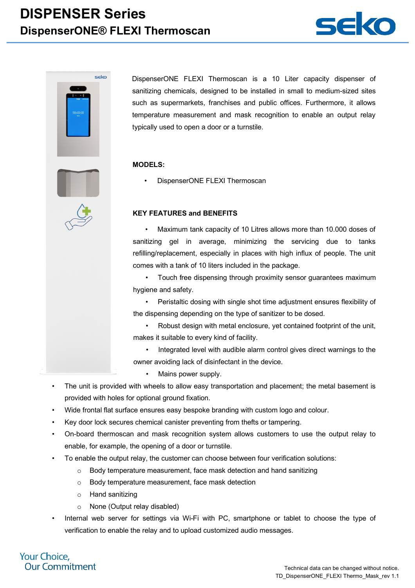## **DISPENSER Series DispenserONE® FLEXI Thermoscan**





DispenserONE FLEXI Thermoscan is a 10 Liter capacity dispenser of sanitizing chemicals, designed to be installed in small to medium-sized sites such as supermarkets, franchises and public offices. Furthermore, it allows temperature measurement and mask recognition to enable an output relay typically used to open a door or a turnstile.

#### **MODELS:**

• DispenserONE FLEXI Thermoscan

#### **KEY FEATURES and BENEFITS**

• Maximum tank capacity of 10 Litres allows more than 10.000 doses of sanitizing gel in average, minimizing the servicing due to tanks refilling/replacement, especially in places with high influx of people. The unit comes with a tank of 10 liters included in the package.

• Touch free dispensing through proximity sensor guarantees maximum hygiene and safety.

Peristaltic dosing with single shot time adjustment ensures flexibility of the dispensing depending on the type of sanitizer to be dosed.

• Robust design with metal enclosure, yet contained footprint of the unit, makes it suitable to every kind of facility.

- Integrated level with audible alarm control gives direct warnings to the owner avoiding lack of disinfectant in the device.
	- Mains power supply.
- The unit is provided with wheels to allow easy transportation and placement; the metal basement is provided with holes for optional ground fixation.
- Wide frontal flat surface ensures easy bespoke branding with custom logo and colour.
- Key door lock secures chemical canister preventing from thefts or tampering.
- On-board thermoscan and mask recognition system allows customers to use the output relay to enable, for example, the opening of a door or turnstile.
- To enable the output relay, the customer can choose between four verification solutions:
	- o Body temperature measurement, face mask detection and hand sanitizing
	- o Body temperature measurement, face mask detection
	- o Hand sanitizing
	- o None (Output relay disabled)
- Internal web server for settings via Wi-Fi with PC, smartphone or tablet to choose the type of verification to enable the relay and to upload customized audio messages.

Your Choice, **Our Commitment**